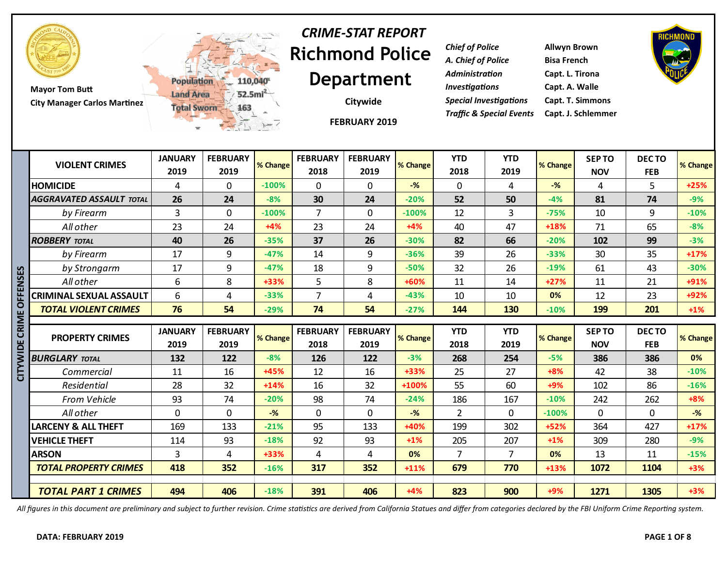

**Mayor Tom Butt City Manager Carlos Martinez**



# **Richmond Police Department** *CRIME-STAT REPORT*

**Citywide**

**FEBRUARY 2019**

*Chief of Police* **Allwyn Brown** *A. Chief of Police* **Bisa French** *Administration* **Capt. L. Tirona** *Investigations* **Capt. A. Walle** *Special Investigations* **Capt. T. Simmons** *Traffic & Special Events* **Capt. J. Schlemmer**



|          | <b>VIOLENT CRIMES</b>           | <b>JANUARY</b><br>2019 | <b>FEBRUARY</b><br>2019 | % Change       | <b>FEBRUARY</b><br>2018 | <b>FEBRUARY</b><br>2019 | % Change        | <b>YTD</b><br>2018    | <b>YTD</b><br>2019 | % Change        | <b>SEPTO</b><br><b>NOV</b> | <b>DECTO</b><br><b>FEB</b> | % Change       |
|----------|---------------------------------|------------------------|-------------------------|----------------|-------------------------|-------------------------|-----------------|-----------------------|--------------------|-----------------|----------------------------|----------------------------|----------------|
|          | <b>HOMICIDE</b>                 | 4                      | $\mathbf{0}$            | $-100%$        | $\mathbf{0}$            | $\mathbf 0$             | $-$ %           | $\mathbf 0$           | 4                  | $-$ %           | 4                          | 5                          | $+25%$         |
|          | <b>AGGRAVATED ASSAULT TOTAL</b> | 26                     | 24                      | $-8%$          | 30                      | 24                      | $-20%$          | 52                    | 50                 | $-4%$           | 81                         | 74                         | $-9%$          |
|          | by Firearm                      | $\overline{3}$         | $\mathbf 0$             | $-100%$        | $\overline{7}$          | $\mathbf{0}$            | $-100%$         | 12                    | $\overline{3}$     | $-75%$          | 10                         | 9                          | $-10%$         |
|          | All other                       | 23                     | 24                      | $+4%$          | 23                      | 24                      | $+4%$           | 40                    | 47                 | +18%            | 71                         | 65                         | $-8%$          |
|          | <b>ROBBERY TOTAL</b>            | 40                     | 26                      | $-35%$         | 37                      | 26                      | $-30%$          | 82                    | 66                 | $-20%$          | 102                        | 99                         | $-3%$          |
|          | by Firearm                      | 17                     | 9                       | $-47%$         | 14                      | 9                       | $-36%$          | 39                    | 26                 | $-33%$          | 30                         | 35                         | $+17%$         |
| <u>ន</u> | by Strongarm                    | 17                     | 9                       | $-47%$         | 18                      | 9                       | $-50%$          | 32                    | 26                 | $-19%$          | 61                         | 43                         | $-30%$         |
| ş        | All other                       | 6                      | 8                       | +33%           | 5                       | 8                       | +60%            | 11                    | 14                 | $+27%$          | 11                         | 21                         | +91%           |
|          | CRIMINAL SEXUAL ASSAULT         | 6                      | 4                       | $-33%$         | $\overline{7}$          | 4                       | $-43%$          | 10                    | 10                 | 0%              | 12                         | 23                         | +92%           |
| O        | <b>TOTAL VIOLENT CRIMES</b>     | 76                     | 54                      | $-29%$         | 74                      | 54                      | $-27%$          | 144                   | 130                | $-10%$          | 199                        | 201                        | $+1\%$         |
| CRIME    |                                 |                        |                         |                |                         |                         |                 |                       |                    |                 |                            |                            |                |
|          |                                 |                        |                         |                |                         |                         |                 |                       |                    |                 |                            |                            |                |
|          | <b>PROPERTY CRIMES</b>          | <b>JANUARY</b>         | <b>FEBRUARY</b>         | % Change       | <b>FEBRUARY</b>         | <b>FEBRUARY</b>         | % Change        | <b>YTD</b>            | <b>YTD</b>         | % Change        | <b>SEPTO</b>               | DECTO                      |                |
| 뿜        |                                 | 2019                   | 2019                    |                | 2018                    | 2019                    |                 | 2018                  | 2019               |                 | <b>NOV</b>                 | <b>FEB</b>                 |                |
|          | <b>BURGLARY TOTAL</b>           | 132                    | 122                     | $-8%$          | 126                     | 122                     | $-3%$           | 268                   | 254                | $-5%$           | 386                        | 386                        | 0%             |
| 5        | Commercial                      | 11                     | 16                      | +45%           | 12                      | 16                      | +33%            | 25                    | 27                 | $+8%$           | 42                         | 38                         | $-10%$         |
|          | Residential                     | 28                     | 32                      | $+14%$         | 16                      | 32                      | +100%           | 55                    | 60                 | $+9%$<br>$-10%$ | 102                        | 86                         | $-16%$         |
|          | From Vehicle<br>All other       | 93<br>$\mathbf 0$      | 74<br>$\mathbf 0$       | $-20%$<br>$-%$ | 98<br>$\mathbf{0}$      | 74<br>$\mathbf 0$       | $-24%$<br>$-$ % | 186<br>$\overline{2}$ | 167<br>$\Omega$    | $-100%$         | 242<br>$\mathbf{0}$        | 262<br>0                   | $+8%$<br>$-$ % |
|          | <b>LARCENY &amp; ALL THEFT</b>  |                        |                         | $-21%$         |                         |                         | +40%            |                       | 302                | $+52%$          |                            |                            | $+17%$         |
|          | <b>VEHICLE THEFT</b>            | 169<br>114             | 133                     | $-18%$         | 95                      | 133<br>93               | $+1%$           | 199<br>205            | 207                | $+1%$           | 364<br>309                 | 427<br>280                 | $-9%$          |
|          | <b>ARSON</b>                    | $\overline{3}$         | 93<br>4                 | +33%           | 92<br>4                 | 4                       | 0%              | $\overline{7}$        | $\overline{7}$     | 0%              | 13                         | 11                         | $-15%$         |
|          | <b>TOTAL PROPERTY CRIMES</b>    | 418                    | 352                     | $-16%$         | 317                     | 352                     | $+11%$          | 679                   | 770                | $+13%$          | 1072                       | 1104                       | $+3%$          |
|          |                                 |                        |                         |                |                         |                         |                 |                       |                    |                 |                            |                            | % Change       |

*All figures in this document are preliminary and subject to further revision. Crime statistics are derived from California Statues and differ from categories declared by the FBI Uniform Crime Reporting system.*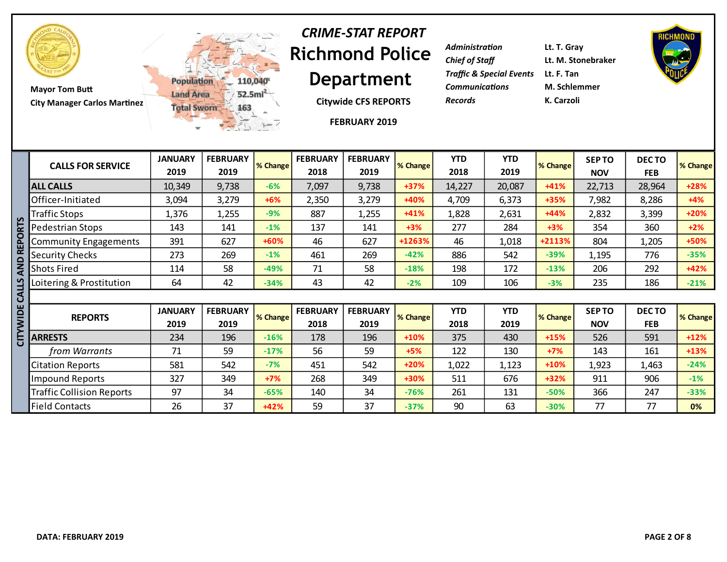

**Mayor Tom Butt City Manager Carlos Martinez**



# **Richmond Police Department** *CRIME-STAT REPORT*

**Citywide CFS REPORTS**

**FEBRUARY 2019**

| <b>Administration</b>                          | Lt. T. Gray        |
|------------------------------------------------|--------------------|
| <b>Chief of Staff</b>                          | Lt. M. Stonebraker |
| <b>Traffic &amp; Special Events</b> Lt. F. Tan |                    |
| <b>Communications</b>                          | M. Schlemmer       |
| <b>Records</b>                                 | K. Carzoli         |



|          | <b>CALLS FOR SERVICE</b>         | <b>JANUARY</b><br>2019 | <b>FEBRUARY</b><br>2019 | % Change | <b>FEBRUARY</b><br>2018 | <b>FEBRUARY</b><br>2019 | % Change | <b>YTD</b><br>2018 | <b>YTD</b><br>2019 | % Change | <b>SEPTO</b><br><b>NOV</b> | <b>DECTO</b><br><b>FEB</b> | <b>% Change</b> |
|----------|----------------------------------|------------------------|-------------------------|----------|-------------------------|-------------------------|----------|--------------------|--------------------|----------|----------------------------|----------------------------|-----------------|
|          | <b>ALL CALLS</b>                 | 10,349                 | 9,738                   | $-6%$    | 7,097                   | 9,738                   | $+37%$   | 14,227             | 20,087             | $+41%$   | 22,713                     | 28,964                     | $+28%$          |
|          | Officer-Initiated                | 3,094                  | 3,279                   | $+6%$    | 2,350                   | 3,279                   | +40%     | 4,709              | 6,373              | $+35%$   | 7,982                      | 8,286                      | $+4%$           |
|          | <b>Traffic Stops</b>             | 1,376                  | 1,255                   | $-9%$    | 887                     | 1,255                   | $+41%$   | 1,828              | 2,631              | $+44%$   | 2,832                      | 3,399                      | $+20%$          |
| RTS      | <b>Pedestrian Stops</b>          | 143                    | 141                     | $-1%$    | 137                     | 141                     | $+3%$    | 277                | 284                | $+3%$    | 354                        | 360                        | $+2%$           |
| O        | Community Engagements            | 391                    | 627                     | +60%     | 46                      | 627                     | +1263%   | 46                 | 1,018              | +2113%   | 804                        | 1,205                      | +50%            |
| 띹        | Security Checks                  | 273                    | 269                     | $-1%$    | 461                     | 269                     | $-42%$   | 886                | 542                | $-39%$   | 1,195                      | 776                        | $-35%$          |
| QNA      | <b>Shots Fired</b>               | 114                    | 58                      | $-49%$   | 71                      | 58                      | $-18%$   | 198                | 172                | $-13%$   | 206                        | 292                        | $+42%$          |
| ທ        | Loitering & Prostitution         | 64                     | 42                      | $-34%$   | 43                      | 42                      | $-2%$    | 109                | 106                | $-3%$    | 235                        | 186                        | $-21%$          |
| CALL'    |                                  |                        |                         |          |                         |                         |          |                    |                    |          |                            |                            |                 |
| CITYWIDE | <b>REPORTS</b>                   | <b>JANUARY</b><br>2019 | <b>FEBRUARY</b><br>2019 | % Change | <b>FEBRUARY</b><br>2018 | <b>FEBRUARY</b><br>2019 | % Change | <b>YTD</b><br>2018 | <b>YTD</b><br>2019 | % Change | <b>SEPTO</b><br><b>NOV</b> | DEC TO<br><b>FEB</b>       | % Change        |
|          | <b>ARRESTS</b>                   | 234                    | 196                     | $-16%$   | 178                     | 196                     | $+10%$   | 375                | 430                | $+15%$   | 526                        | 591                        | $+12%$          |
|          | from Warrants                    | 71                     | 59                      | $-17%$   | 56                      | 59                      | $+5%$    | 122                | 130                | $+7%$    | 143                        | 161                        | $+13%$          |
|          | <b>Citation Reports</b>          | 581                    | 542                     | $-7%$    | 451                     | 542                     | $+20%$   | 1,022              | 1,123              | $+10%$   | 1,923                      | 1,463                      | $-24%$          |
|          | Impound Reports                  | 327                    | 349                     | $+7%$    | 268                     | 349                     | +30%     | 511                | 676                | $+32%$   | 911                        | 906                        | $-1%$           |
|          | <b>Traffic Collision Reports</b> | 97                     | 34                      | $-65%$   | 140                     | 34                      | $-76%$   | 261                | 131                | $-50%$   | 366                        | 247                        | $-33%$          |
|          | Field Contacts                   | 26                     | 37                      | $+42%$   | 59                      | 37                      | $-37%$   | 90                 | 63                 | $-30%$   | 77                         | 77                         | 0%              |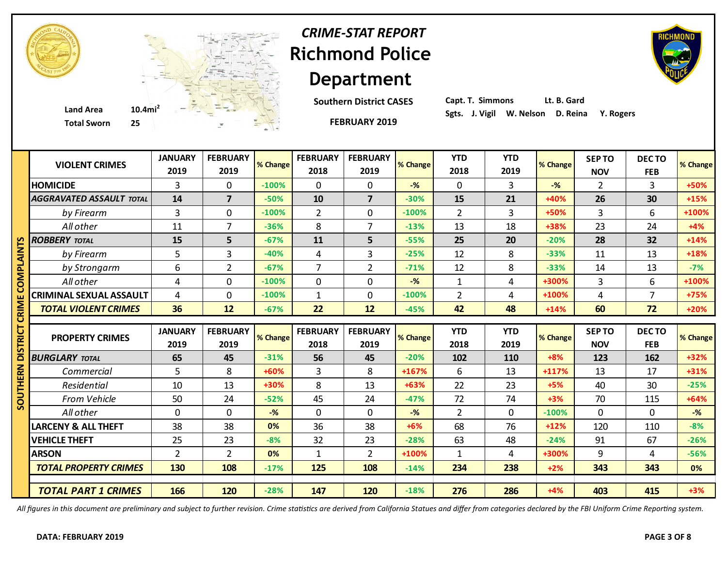

# **Richmond Police Department** *CRIME-STAT REPORT*

**Southern District CASES**

**FEBRUARY 2019**



**Capt. T. Simmons Lt. B. Gard**

|                   | <b>VIOLENT CRIMES</b>           | <b>JANUARY</b> | <b>FEBRUARY</b> | % Change | <b>FEBRUARY</b> | <b>FEBRUARY</b> | % Change       | <b>YTD</b>     | <b>YTD</b>     | % Change       | <b>SEPTO</b>   | DECTO          | % Change |
|-------------------|---------------------------------|----------------|-----------------|----------|-----------------|-----------------|----------------|----------------|----------------|----------------|----------------|----------------|----------|
|                   |                                 | 2019           | 2019            |          | 2018            | 2019            |                | 2018           | 2019           |                | <b>NOV</b>     | <b>FEB</b>     |          |
|                   | <b>HOMICIDE</b>                 | 3              | $\mathbf 0$     | $-100%$  | $\mathbf 0$     | $\mathbf 0$     | $-$ %          | $\mathbf 0$    | 3              | $-\frac{9}{6}$ | $\overline{2}$ | 3              | +50%     |
|                   | <b>AGGRAVATED ASSAULT TOTAL</b> | 14             | $\overline{7}$  | $-50%$   | 10              | $\overline{7}$  | $-30%$         | 15             | 21             | +40%           | 26             | 30             | $+15%$   |
|                   | by Firearm                      | $\overline{3}$ | $\mathbf 0$     | $-100%$  | $\overline{2}$  | $\Omega$        | $-100%$        | $\overline{2}$ | $\overline{3}$ | +50%           | $\overline{3}$ | 6              | +100%    |
|                   | All other                       | 11             | $\overline{7}$  | $-36%$   | 8               | $\overline{7}$  | $-13%$         | 13             | 18             | +38%           | 23             | 24             | $+4%$    |
| m                 | <b>ROBBERY TOTAL</b>            | 15             | 5               | $-67%$   | 11              | 5               | $-55%$         | 25             | 20             | $-20%$         | 28             | 32             | $+14%$   |
| ≧<br>द            | by Firearm                      | 5              | 3               | $-40%$   | 4               | $\overline{3}$  | $-25%$         | 12             | 8              | $-33%$         | 11             | 13             | +18%     |
|                   | by Strongarm                    | 6              | $\overline{2}$  | $-67%$   | $\overline{7}$  | $\overline{2}$  | $-71%$         | 12             | 8              | $-33%$         | 14             | 13             | $-7%$    |
|                   | All other                       | 4              | $\mathbf 0$     | $-100%$  | $\mathbf 0$     | $\mathbf 0$     | $-\frac{9}{6}$ | $\mathbf{1}$   | 4              | +300%          | $\overline{3}$ | 6              | +100%    |
|                   | <b>CRIMINAL SEXUAL ASSAULT</b>  | 4              | $\mathbf 0$     | $-100%$  | $\mathbf{1}$    | $\mathbf{0}$    | $-100%$        | $\overline{2}$ | 4              | +100%          | 4              | $\overline{7}$ | +75%     |
|                   | <b>TOTAL VIOLENT CRIMES</b>     | 36             | 12              | $-67%$   | 22              | 12              | $-45%$         | 42             | 48             | $+14%$         | 60             | 72             | $+20%$   |
|                   |                                 |                |                 |          |                 |                 |                |                |                |                |                |                |          |
|                   |                                 |                |                 |          |                 |                 |                |                |                |                |                |                |          |
| י⊃ו<br>מ          | <b>PROPERTY CRIMES</b>          | <b>JANUARY</b> | <b>FEBRUARY</b> | % Change | <b>FEBRUARY</b> | <b>FEBRUARY</b> | % Change       | <b>YTD</b>     | <b>YTD</b>     | % Change       | <b>SEPTO</b>   | <b>DECTO</b>   |          |
|                   |                                 | 2019           | 2019            |          | 2018            | 2019            |                | 2018           | 2019           |                | <b>NOV</b>     | <b>FEB</b>     | % Change |
|                   | <b>BURGLARY TOTAL</b>           | 65             | 45              | $-31%$   | 56              | 45              | $-20%$         | 102            | 110            | $+8%$          | 123            | 162            | +32%     |
|                   | Commercial                      | 5              | 8               | +60%     | 3               | 8               | +167%          | 6              | 13             | $+117%$        | 13             | 17             | $+31%$   |
|                   | Residential                     | 10             | 13              | +30%     | 8               | 13              | $+63%$         | 22             | 23             | $+5%$          | 40             | 30             | $-25%$   |
|                   | <b>From Vehicle</b>             | 50             | 24              | $-52%$   | 45              | 24              | $-47%$         | 72             | 74             | $+3%$          | 70             | 115            | $+64%$   |
|                   | All other                       | $\mathbf 0$    | $\mathbf 0$     | $-$ %    | $\mathbf 0$     | $\mathbf{0}$    | $-%$           | $\overline{2}$ | $\Omega$       | $-100%$        | $\mathbf 0$    | $\mathbf 0$    | $-$ %    |
|                   | <b>LARCENY &amp; ALL THEFT</b>  | 38             | 38              | 0%       | 36              | 38              | $+6%$          | 68             | 76             | $+12%$         | 120            | 110            | $-8%$    |
| ERN<br><b>UOS</b> | <b>VEHICLE THEFT</b>            | 25             | 23              | $-8%$    | 32              | 23              | $-28%$         | 63             | 48             | $-24%$         | 91             | 67             | $-26%$   |
|                   | <b>ARSON</b>                    | $\overline{2}$ | $\overline{2}$  | 0%       | 1               | $\overline{2}$  | +100%          | $\mathbf{1}$   | 4              | +300%          | 9              | 4              | $-56%$   |
|                   | <b>TOTAL PROPERTY CRIMES</b>    | 130            | 108             | $-17%$   | 125             | 108             | $-14%$         | 234            | 238            | $+2%$          | 343            | 343            | 0%       |
|                   | <b>TOTAL PART 1 CRIMES</b>      | 166            | 120             |          | 147             | 120             |                | 276            | 286            |                |                | 415            |          |

*All figures in this document are preliminary and subject to further revision. Crime statistics are derived from California Statues and differ from categories declared by the FBI Uniform Crime Reporting system.*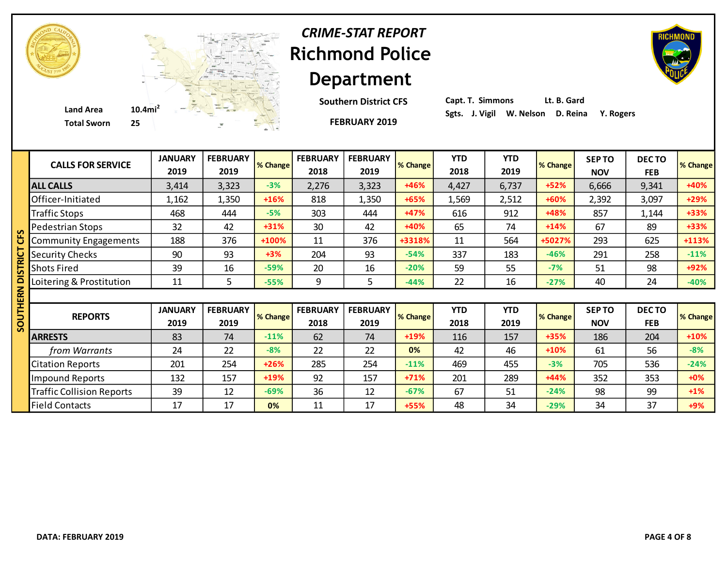

# **Richmond Police Department** *CRIME-STAT REPORT*

**Southern District CFS**

**FEBRUARY 2019**

| Capt. T. Simmons |                                             | Lt. B. Gard |  |
|------------------|---------------------------------------------|-------------|--|
|                  | Sgts. J. Vigil W. Nelson D. Reina Y. Rogers |             |  |

| <b>CALLS FOR SERVICE</b>         | <b>JANUARY</b><br>2019 | <b>FEBRUARY</b><br>2019 | % Change | <b>FEBRUARY</b><br>2018 | <b>FEBRUARY</b><br>2019 | % Change | <b>YTD</b><br>2018 | <b>YTD</b><br>2019 | % Change | <b>SEPTO</b><br><b>NOV</b> | <b>DECTO</b><br><b>FEB</b> | % Change          |
|----------------------------------|------------------------|-------------------------|----------|-------------------------|-------------------------|----------|--------------------|--------------------|----------|----------------------------|----------------------------|-------------------|
| <b>ALL CALLS</b>                 | 3,414                  | 3,323                   | $-3%$    | 2,276                   | 3,323                   | +46%     | 4,427              | 6,737              | $+52%$   | 6,666                      | 9,341                      | +40%              |
| Officer-Initiated                | 1,162                  | 1,350                   | $+16%$   | 818                     | 1,350                   | $+65%$   | 1,569              | 2,512              | +60%     | 2,392                      | 3,097                      | +29%              |
| <b>Traffic Stops</b>             | 468                    | 444                     | $-5%$    | 303                     | 444                     | $+47%$   | 616                | 912                | +48%     | 857                        | 1,144                      | $+33%$            |
| Pedestrian Stops                 | 32                     | 42                      | $+31%$   | 30                      | 42                      | $+40%$   | 65                 | 74                 | $+14%$   | 67                         | 89                         | +33%              |
| <b>Community Engagements</b>     | 188                    | 376                     | +100%    | 11                      | 376                     | +3318%   | 11                 | 564                | +5027%   | 293                        | 625                        | +113%             |
| <b>Security Checks</b>           | 90                     | 93                      | $+3%$    | 204                     | 93                      | $-54%$   | 337                | 183                | $-46%$   | 291                        | 258                        | $-11%$            |
| <b>Shots Fired</b>               | 39                     | 16                      | $-59%$   | 20                      | 16                      | $-20%$   | 59                 | 55                 | $-7%$    | 51                         | 98                         | +92%              |
| Loitering & Prostitution         | 11                     | 5                       | $-55%$   | 9                       | 5                       | $-44%$   | 22                 | 16                 | $-27%$   | 40                         | 24                         | $-40%$            |
|                                  |                        |                         |          |                         |                         |          |                    |                    |          |                            |                            |                   |
|                                  |                        |                         |          |                         |                         |          |                    |                    |          |                            |                            |                   |
|                                  | <b>JANUARY</b>         | <b>FEBRUARY</b>         |          | <b>FEBRUARY</b>         | <b>FEBRUARY</b>         |          | <b>YTD</b>         | <b>YTD</b>         |          | <b>SEP TO</b>              | <b>DECTO</b>               |                   |
| <b>REPORTS</b>                   | 2019                   | 2019                    | % Change | 2018                    | 2019                    | % Change | 2018               | 2019               | % Change | <b>NOV</b>                 | <b>FEB</b>                 |                   |
| <b>ARRESTS</b>                   | 83                     | 74                      | $-11%$   | 62                      | 74                      | +19%     | 116                | 157                | +35%     | 186                        | 204                        | $+10%$            |
| from Warrants                    | 24                     | 22                      | $-8%$    | 22                      | 22                      | 0%       | 42                 | 46                 | $+10%$   | 61                         | 56                         | $-8%$             |
| <b>Citation Reports</b>          | 201                    | 254                     | $+26%$   | 285                     | 254                     | $-11%$   | 469                | 455                | $-3%$    | 705                        | 536                        | $-24%$            |
| <b>Impound Reports</b>           | 132                    | 157                     | +19%     | 92                      | 157                     | $+71%$   | 201                | 289                | +44%     | 352                        | 353                        | $+0%$             |
| <b>Traffic Collision Reports</b> | 39                     | 12                      | $-69%$   | 36                      | 12                      | $-67%$   | 67                 | 51                 | $-24%$   | 98                         | 99                         | $+1\%$            |
| <b>Field Contacts</b>            | 17                     | 17                      | 0%       | 11                      | 17                      | +55%     | 48                 | 34                 | $-29%$   | 34                         | 37                         | % Change<br>$+9%$ |

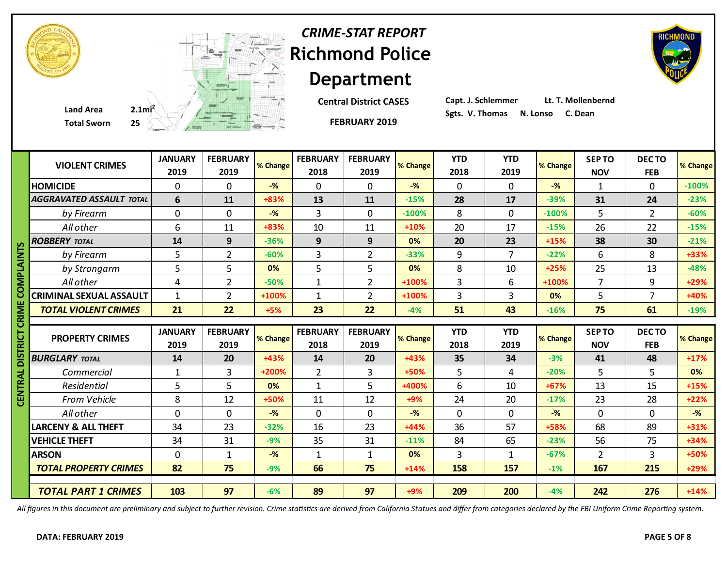| <b>VIOLENT CRIMES</b>           | <b>JANUARY</b><br>2019 | <b>FEBRUARY</b><br>2019 | % Change       | <b>FEBRUARY</b><br>2018 | <b>FEBRUARY</b><br>2019 | % Change | <b>YTD</b><br>2018 | <b>YTD</b><br>2019 | % Change | <b>SEPTO</b><br><b>NOV</b> | <b>DECTO</b><br><b>FEB</b> | % Change         |
|---------------------------------|------------------------|-------------------------|----------------|-------------------------|-------------------------|----------|--------------------|--------------------|----------|----------------------------|----------------------------|------------------|
| <b>HOMICIDE</b>                 | $\Omega$               | $\Omega$                | $-$ %          | $\mathbf{0}$            | $\Omega$                | $-$ %    | $\Omega$           | $\Omega$           | $-$ %    | 1                          | $\Omega$                   | $-100%$          |
| <b>AGGRAVATED ASSAULT TOTAL</b> | 6                      | 11                      | +83%           | 13                      | 11                      | $-15%$   | 28                 | 17                 | $-39%$   | 31                         | 24                         | $-23%$           |
| by Firearm                      | 0                      | $\Omega$                | $-\frac{9}{6}$ | 3                       | 0                       | $-100%$  | 8                  | $\mathbf 0$        | $-100%$  | 5                          | $\overline{2}$             | $-60%$           |
| All other                       | 6                      | 11                      | +83%           | 10                      | 11                      | +10%     | 20                 | 17                 | $-15%$   | 26                         | 22                         | $-15%$           |
| <b>ROBBERY TOTAL</b>            | 14                     | 9                       | $-36%$         | 9                       | 9                       | 0%       | 20                 | 23                 | $+15%$   | 38                         | 30                         | $-21%$           |
| by Firearm                      | 5                      | 2                       | $-60%$         | 3                       | $\overline{2}$          | $-33%$   | 9                  | $\overline{7}$     | $-22%$   | 6                          | 8                          | +33%             |
| by Strongarm                    | 5                      | 5                       | 0%             | 5                       | 5                       | 0%       | 8                  | 10                 | $+25%$   | 25                         | 13                         | $-48%$           |
| All other                       | 4                      | $\overline{2}$          | $-50%$         | $\mathbf 1$             | $\overline{2}$          | +100%    | 3                  | 6                  | +100%    | $\overline{7}$             | 9                          | +29%             |
| <b>CRIMINAL SEXUAL ASSAULT</b>  | $\mathbf{1}$           | $\overline{2}$          | +100%          | $\mathbf{1}$            | $\overline{2}$          | +100%    | 3                  | 3                  | 0%       | 5                          | $\overline{7}$             | +40%             |
| <b>TOTAL VIOLENT CRIMES</b>     | 21                     | 22                      | $+5%$          | 23                      | 22                      | $-4%$    | 51                 | 43                 | $-16%$   | 75                         | 61                         | $-19%$           |
|                                 |                        |                         |                |                         |                         |          |                    |                    |          |                            |                            |                  |
|                                 |                        |                         |                |                         |                         |          |                    |                    |          |                            |                            |                  |
|                                 | <b>JANUARY</b>         | <b>FEBRUARY</b>         |                | <b>FEBRUARY</b>         | <b>FEBRUARY</b>         |          | <b>YTD</b>         | <b>YTD</b>         |          | <b>SEPTO</b>               | <b>DECTO</b>               |                  |
| <b>PROPERTY CRIMES</b>          | 2019                   | 2019                    | % Change       | 2018                    | 2019                    | % Change | 2018               | 2019               | % Change | <b>NOV</b>                 | <b>FEB</b>                 |                  |
| <b>BURGLARY TOTAL</b>           | 14                     | 20                      | +43%           | 14                      | 20                      | +43%     | 35                 | 34                 | $-3%$    | 41                         | 48                         | $+17%$           |
| Commercial                      | $\mathbf{1}$           | 3                       | +200%          | $\overline{2}$          | 3                       | +50%     | 5                  | 4                  | $-20%$   | 5                          | 5                          | 0%               |
| Residential                     | 5                      | 5                       | 0%             | $\mathbf{1}$            | 5                       | +400%    | 6                  | 10                 | $+67%$   | 13                         | 15                         | $+15%$           |
| From Vehicle                    | 8                      | 12                      | +50%           | 11                      | 12                      | $+9%$    | 24                 | 20                 | $-17%$   | 23                         | 28                         | $+22%$           |
| All other                       | 0                      | $\mathbf 0$             | $-$ %          | $\mathbf 0$             | $\mathbf 0$             | $-$ %    | $\mathbf{0}$       | $\mathbf 0$        | $-$ %    | $\mathbf 0$                | $\mathbf 0$                | $-$ %            |
| <b>LARCENY &amp; ALL THEFT</b>  | 34                     | 23                      | $-32%$         | 16                      | 23                      | +44%     | 36                 | 57                 | +58%     | 68                         | 89                         | $+31%$           |
| <b>VEHICLE THEFT</b>            | 34                     | 31                      | $-9%$          | 35                      | 31                      | $-11%$   | 84                 | 65                 | $-23%$   | 56                         | 75                         | +34%             |
| <b>ARSON</b>                    | 0                      | $\mathbf{1}$            | $-$ %          | $\mathbf{1}$            | $\mathbf{1}$            | 0%       | 3                  | $\mathbf{1}$       | $-67%$   | $\overline{2}$             | $\overline{3}$             | % Change<br>+50% |
| <b>TOTAL PROPERTY CRIMES</b>    | 82                     | 75                      | $-9%$          | 66                      | 75                      | $+14%$   | 158                | 157                | $-1%$    | 167                        | 215                        | $+29%$           |
| <b>TOTAL PART 1 CRIMES</b>      | 103                    | 97                      |                | 89                      | 97                      |          | 209                | 200                |          |                            |                            |                  |

*All figures in this document are preliminary and subject to further revision. Crime statistics are derived from California Statues and differ from categories declared by the FBI Uniform Crime Reporting system.*

#### **Richmond Police Department** *CRIME-STAT REPORT*

**Central District CASES**

**FEBRUARY 2019**

**FEBRUARY**

**FEBRUARY**

**Capt. J. Schlemmer Lt. T. Mollenbernd**

 $Y$ 

 $\frac{1}{2}$ 





**JANUARY**

**FEBRUARY**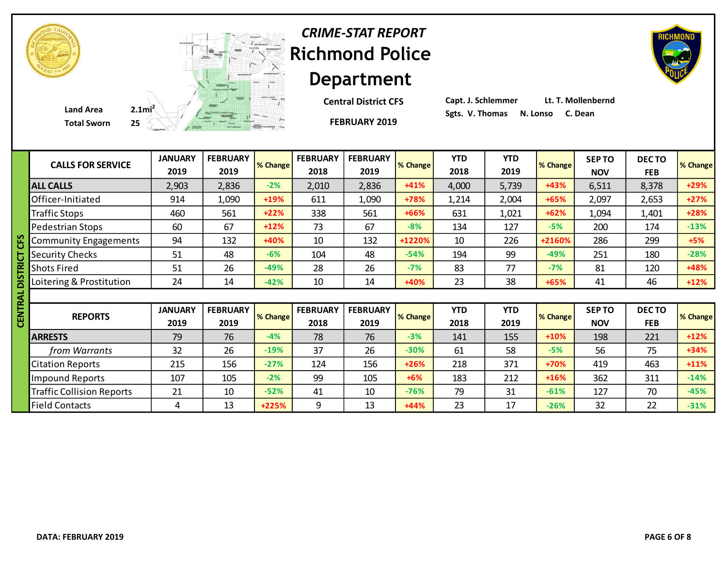| <b>CRIME-STAT REPORT</b> |  |
|--------------------------|--|
| <b>Richmond Police</b>   |  |
| <b>Department</b>        |  |

**Central District CFS**

**FEBRUARY 2019**

**Capt. J. Schlemmer Lt. T. Mollenbernd**

|   | <b>CALLS FOR SERVICE</b>         | <b>JANUARY</b><br>2019 | <b>FEBRUARY</b><br>2019 | % Change | <b>FEBRUARY</b><br>2018 | <b>FEBRUARY</b><br>2019 | % Change | <b>YTD</b><br>2018 | <b>YTD</b><br>2019 | % Change | <b>SEPTO</b><br><b>NOV</b> | DECTO<br><b>FEB</b> | % Change |
|---|----------------------------------|------------------------|-------------------------|----------|-------------------------|-------------------------|----------|--------------------|--------------------|----------|----------------------------|---------------------|----------|
|   | <b>ALL CALLS</b>                 | 2,903                  | 2,836                   | $-2%$    | 2,010                   | 2,836                   | $+41%$   | 4,000              | 5,739              | +43%     | 6,511                      | 8,378               | +29%     |
|   | Officer-Initiated                | 914                    | 1,090                   | +19%     | 611                     | 1,090                   | $+78%$   | 1,214              | 2,004              | $+65%$   | 2,097                      | 2,653               | $+27%$   |
|   | <b>Traffic Stops</b>             | 460                    | 561                     | $+22%$   | 338                     | 561                     | +66%     | 631                | 1,021              | $+62%$   | 1,094                      | 1,401               | +28%     |
|   | Pedestrian Stops                 | 60                     | 67                      | $+12%$   | 73                      | 67                      | $-8%$    | 134                | 127                | $-5%$    | 200                        | 174                 | $-13%$   |
|   | <b>Community Engagements</b>     | 94                     | 132                     | +40%     | 10                      | 132                     | +1220%   | 10                 | 226                | +2160%   | 286                        | 299                 | $+5%$    |
|   | <b>Security Checks</b>           | 51                     | 48                      | $-6%$    | 104                     | 48                      | $-54%$   | 194                | 99                 | $-49%$   | 251                        | 180                 | $-28%$   |
|   | <b>Shots Fired</b>               | 51                     | 26                      | $-49%$   | 28                      | 26                      | $-7%$    | 83                 | 77                 | $-7%$    | 81                         | 120                 | +48%     |
|   | Loitering & Prostitution         | 24                     | 14                      | $-42%$   | 10                      | 14                      | +40%     | 23                 | 38                 | +65%     | 41                         | 46                  | $+12%$   |
| ∢ |                                  |                        |                         |          |                         |                         |          |                    |                    |          |                            |                     |          |
|   | <b>REPORTS</b>                   | <b>JANUARY</b><br>2019 | <b>FEBRUARY</b><br>2019 | % Change | <b>FEBRUARY</b><br>2018 | <b>FEBRUARY</b><br>2019 | % Change | <b>YTD</b><br>2018 | <b>YTD</b><br>2019 | % Change | <b>SEPTO</b><br><b>NOV</b> | DECTO<br><b>FEB</b> | % Change |
|   | <b>ARRESTS</b>                   | 79                     | 76                      | $-4%$    | 78                      | 76                      | $-3%$    | 141                | 155                | $+10%$   | 198                        | 221                 | $+12%$   |
|   | from Warrants                    | 32                     | 26                      | $-19%$   | 37                      | 26                      | $-30%$   | 61                 | 58                 | $-5%$    | 56                         | 75                  | $+34%$   |
|   | <b>Citation Reports</b>          | 215                    | 156                     | $-27%$   | 124                     | 156                     | $+26%$   | 218                | 371                | +70%     | 419                        | 463                 | $+11%$   |
|   | <b>Impound Reports</b>           | 107                    | 105                     | $-2%$    | 99                      | 105                     | $+6%$    | 183                | 212                | $+16%$   | 362                        | 311                 | $-14%$   |
|   | <b>Traffic Collision Reports</b> | 21                     | 10                      | $-52%$   | 41                      | 10                      | $-76%$   | 79                 | 31                 | $-61%$   | 127                        | 70                  | $-45%$   |
|   | <b>Field Contacts</b>            | 4                      | 13                      | $+225%$  | 9                       | 13                      | $+44%$   | 23                 | 17                 | $-26%$   | 32                         | 22                  | $-31%$   |

**Total Sworn** 



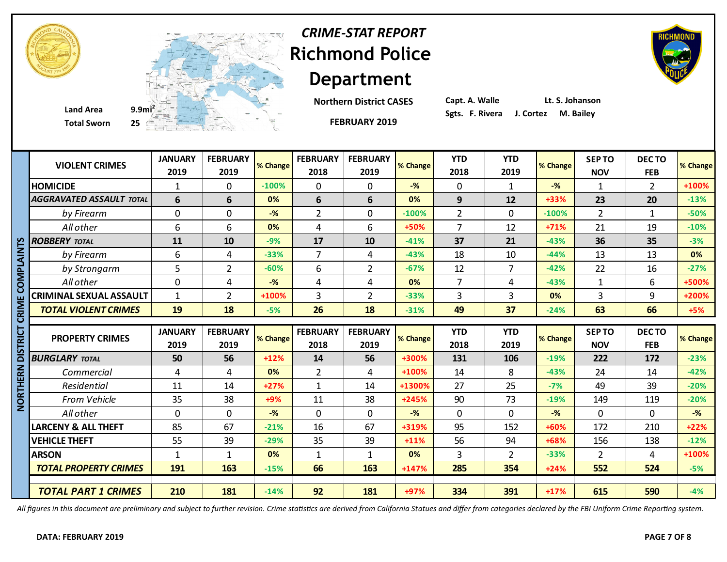



**Total Sworn 25**

# **Department Northern District CASES**

**FEBRUARY 2019**

**Richmond Police** 

*CRIME-STAT REPORT*

**Capt. A. Walle Lt. S. Johanson**

|             | <b>VIOLENT CRIMES</b>           | <b>JANUARY</b><br>2019 | <b>FEBRUARY</b><br>2019 | % Change | <b>FEBRUARY</b><br>2018 | <b>FEBRUARY</b><br>2019 | % Change | <b>YTD</b><br>2018 | <b>YTD</b><br>2019 | % Change       | <b>SEPTO</b><br><b>NOV</b> | <b>DECTO</b><br><b>FEB</b> | % Change |
|-------------|---------------------------------|------------------------|-------------------------|----------|-------------------------|-------------------------|----------|--------------------|--------------------|----------------|----------------------------|----------------------------|----------|
|             | <b>HOMICIDE</b>                 | $\mathbf{1}$           | $\Omega$                | $-100%$  | $\mathbf 0$             | $\mathbf{0}$            | $-$ %    | $\overline{0}$     | $\mathbf{1}$       | $-\frac{9}{6}$ | 1                          | $\overline{2}$             | +100%    |
|             | <b>AGGRAVATED ASSAULT TOTAL</b> | 6                      | 6                       | 0%       | 6                       | 6                       | 0%       | 9                  | 12                 | $+33%$         | 23                         | 20                         | $-13%$   |
|             | by Firearm                      | $\mathbf 0$            | $\mathbf 0$             | $-$ %    | $\overline{2}$          | $\mathbf 0$             | $-100%$  | $\overline{2}$     | 0                  | $-100%$        | $\overline{2}$             | $\mathbf{1}$               | $-50%$   |
|             | All other                       | 6                      | 6                       | 0%       | 4                       | 6                       | +50%     | $\overline{7}$     | 12                 | $+71%$         | 21                         | 19                         | $-10%$   |
|             | <b>ROBBERY TOTAL</b>            | 11                     | 10                      | $-9%$    | 17                      | 10                      | $-41%$   | 37                 | 21                 | $-43%$         | 36                         | 35                         | $-3%$    |
|             | by Firearm                      | 6                      | 4                       | $-33%$   | $\overline{7}$          | 4                       | $-43%$   | 18                 | 10                 | $-44%$         | 13                         | 13                         | 0%       |
| DIALAIN     | by Strongarm                    | 5                      | $\overline{2}$          | $-60%$   | 6                       | $\overline{2}$          | $-67%$   | 12                 | $\overline{7}$     | $-42%$         | 22                         | 16                         | $-27%$   |
|             | All other                       | $\mathbf 0$            | 4                       | $-$ %    | 4                       | 4                       | 0%       | $\overline{7}$     | 4                  | $-43%$         | $\mathbf{1}$               | 6                          | +500%    |
|             | <b>CRIMINAL SEXUAL ASSAULT</b>  | $\mathbf{1}$           | $\overline{2}$          | +100%    | 3                       | $\overline{2}$          | $-33%$   | 3                  | 3                  | 0%             | 3                          | 9                          | +200%    |
|             | <b>TOTAL VIOLENT CRIMES</b>     | 19                     | 18                      | $-5%$    | 26                      | 18                      | $-31%$   | 49                 | 37                 | $-24%$         | 63                         | 66                         | $+5%$    |
| ō           |                                 |                        |                         |          |                         |                         |          |                    |                    |                |                            |                            |          |
|             |                                 |                        |                         |          |                         |                         |          |                    |                    |                |                            |                            |          |
|             | <b>PROPERTY CRIMES</b>          | <b>JANUARY</b>         | <b>FEBRUARY</b>         | % Change | <b>FEBRUARY</b>         | <b>FEBRUARY</b>         | % Change | <b>YTD</b>         | <b>YTD</b>         | % Change       | <b>SEPTO</b>               | <b>DECTO</b>               |          |
| ם<br>≌      |                                 | 2019                   | 2019                    |          | 2018                    | 2019                    |          | 2018               | 2019               |                | <b>NOV</b>                 | <b>FEB</b>                 |          |
|             | <b>BURGLARY TOTAL</b>           | 50                     | 56                      | $+12%$   | 14                      | 56                      | +300%    | 131                | 106                | $-19%$         | 222                        | 172                        | $-23%$   |
| ERN         | Commercial                      | 4                      | 4                       | 0%       | $\overline{2}$          | 4                       | +100%    | 14                 | 8                  | $-43%$         | 24                         | 14                         | $-42%$   |
|             | Residential                     | 11                     | 14                      | $+27%$   | $\mathbf{1}$            | 14                      | +1300%   | 27                 | 25                 | $-7%$          | 49                         | 39                         | $-20%$   |
|             | <b>From Vehicle</b>             | 35                     | 38                      | $+9%$    | 11                      | 38                      | $+245%$  | 90                 | 73                 | $-19%$         | 149                        | 119                        | $-20%$   |
| <b>HIHE</b> | All other                       | $\mathbf 0$            | $\Omega$                | $-$ %    | $\mathbf 0$             | 0                       | $-$ %    | $\mathbf 0$        | 0                  | $-\frac{9}{6}$ | $\Omega$                   | 0                          | $-%$     |
|             | <b>LARCENY &amp; ALL THEFT</b>  | 85                     | 67                      | $-21%$   | 16                      | 67                      | +319%    | 95                 | 152                | +60%           | 172                        | 210                        | $+22%$   |
|             | <b>VEHICLE THEFT</b>            | 55                     | 39                      | $-29%$   | 35                      | 39                      | $+11%$   | 56                 | 94                 | +68%           | 156                        | 138                        | $-12%$   |
|             | <b>ARSON</b>                    | $\mathbf{1}$           | $\mathbf{1}$            | 0%       | $\mathbf{1}$            | 1                       | 0%       | $\overline{3}$     | $\overline{2}$     | $-33%$         | $\overline{2}$             | 4                          | +100%    |
|             | <b>TOTAL PROPERTY CRIMES</b>    | 191                    | 163                     | $-15%$   | 66                      | 163                     | $+147%$  | 285                | 354                | $+24%$         | 552                        | 524                        | $-5%$    |
|             | <b>TOTAL PART 1 CRIMES</b>      | 210                    | 181                     |          | 92                      | 181                     |          | 334                | 391                |                | 615                        | 590                        | % Change |

*All figures in this document are preliminary and subject to further revision. Crime statistics are derived from California Statues and differ from categories declared by the FBI Uniform Crime Reporting system.*